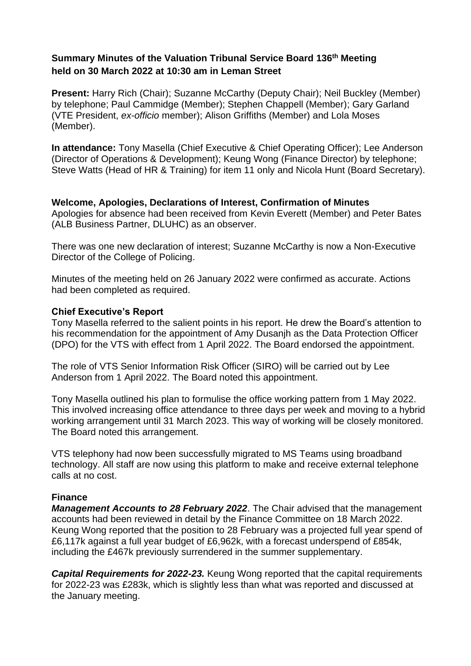# **Summary Minutes of the Valuation Tribunal Service Board 136 th Meeting held on 30 March 2022 at 10:30 am in Leman Street**

**Present:** Harry Rich (Chair); Suzanne McCarthy (Deputy Chair); Neil Buckley (Member) by telephone; Paul Cammidge (Member); Stephen Chappell (Member); Gary Garland (VTE President, *ex-officio* member); Alison Griffiths (Member) and Lola Moses (Member).

**In attendance:** Tony Masella (Chief Executive & Chief Operating Officer); Lee Anderson (Director of Operations & Development); Keung Wong (Finance Director) by telephone; Steve Watts (Head of HR & Training) for item 11 only and Nicola Hunt (Board Secretary).

## **Welcome, Apologies, Declarations of Interest, Confirmation of Minutes**

Apologies for absence had been received from Kevin Everett (Member) and Peter Bates (ALB Business Partner, DLUHC) as an observer.

There was one new declaration of interest; Suzanne McCarthy is now a Non-Executive Director of the College of Policing.

Minutes of the meeting held on 26 January 2022 were confirmed as accurate. Actions had been completed as required.

## **Chief Executive's Report**

Tony Masella referred to the salient points in his report. He drew the Board's attention to his recommendation for the appointment of Amy Dusanjh as the Data Protection Officer (DPO) for the VTS with effect from 1 April 2022. The Board endorsed the appointment.

The role of VTS Senior Information Risk Officer (SIRO) will be carried out by Lee Anderson from 1 April 2022. The Board noted this appointment.

Tony Masella outlined his plan to formulise the office working pattern from 1 May 2022. This involved increasing office attendance to three days per week and moving to a hybrid working arrangement until 31 March 2023. This way of working will be closely monitored. The Board noted this arrangement.

VTS telephony had now been successfully migrated to MS Teams using broadband technology. All staff are now using this platform to make and receive external telephone calls at no cost.

# **Finance**

*Management Accounts to 28 February 2022*. The Chair advised that the management accounts had been reviewed in detail by the Finance Committee on 18 March 2022. Keung Wong reported that the position to 28 February was a projected full year spend of £6,117k against a full year budget of £6,962k, with a forecast underspend of £854k, including the £467k previously surrendered in the summer supplementary.

*Capital Requirements for 2022-23.* Keung Wong reported that the capital requirements for 2022-23 was £283k, which is slightly less than what was reported and discussed at the January meeting.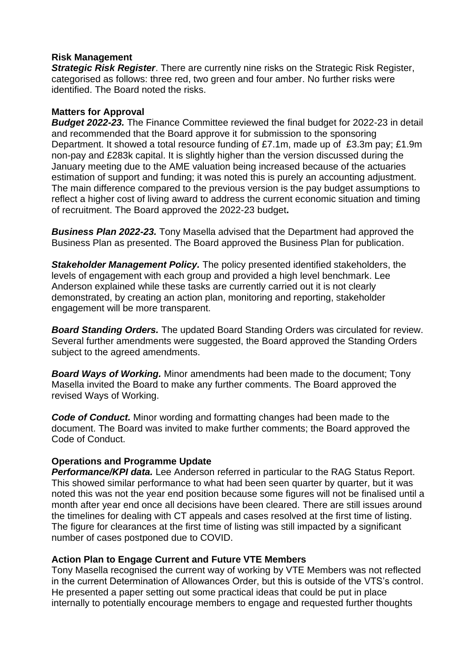## **Risk Management**

**Strategic Risk Register**. There are currently nine risks on the Strategic Risk Register, categorised as follows: three red, two green and four amber. No further risks were identified. The Board noted the risks.

#### **Matters for Approval**

**Budget 2022-23.** The Finance Committee reviewed the final budget for 2022-23 in detail and recommended that the Board approve it for submission to the sponsoring Department. It showed a total resource funding of £7.1m, made up of £3.3m pay; £1.9m non-pay and £283k capital. It is slightly higher than the version discussed during the January meeting due to the AME valuation being increased because of the actuaries estimation of support and funding; it was noted this is purely an accounting adjustment. The main difference compared to the previous version is the pay budget assumptions to reflect a higher cost of living award to address the current economic situation and timing of recruitment. The Board approved the 2022-23 budget**.**

*Business Plan 2022-23.* Tony Masella advised that the Department had approved the Business Plan as presented. The Board approved the Business Plan for publication.

*Stakeholder Management Policy.* The policy presented identified stakeholders, the levels of engagement with each group and provided a high level benchmark. Lee Anderson explained while these tasks are currently carried out it is not clearly demonstrated, by creating an action plan, monitoring and reporting, stakeholder engagement will be more transparent.

*Board Standing Orders.* The updated Board Standing Orders was circulated for review. Several further amendments were suggested, the Board approved the Standing Orders subject to the agreed amendments.

*Board Ways of Working.* Minor amendments had been made to the document; Tony Masella invited the Board to make any further comments. The Board approved the revised Ways of Working.

*Code of Conduct.* Minor wording and formatting changes had been made to the document. The Board was invited to make further comments; the Board approved the Code of Conduct.

## **Operations and Programme Update**

**Performance/KPI data.** Lee Anderson referred in particular to the RAG Status Report. This showed similar performance to what had been seen quarter by quarter, but it was noted this was not the year end position because some figures will not be finalised until a month after year end once all decisions have been cleared. There are still issues around the timelines for dealing with CT appeals and cases resolved at the first time of listing. The figure for clearances at the first time of listing was still impacted by a significant number of cases postponed due to COVID.

## **Action Plan to Engage Current and Future VTE Members**

Tony Masella recognised the current way of working by VTE Members was not reflected in the current Determination of Allowances Order, but this is outside of the VTS's control. He presented a paper setting out some practical ideas that could be put in place internally to potentially encourage members to engage and requested further thoughts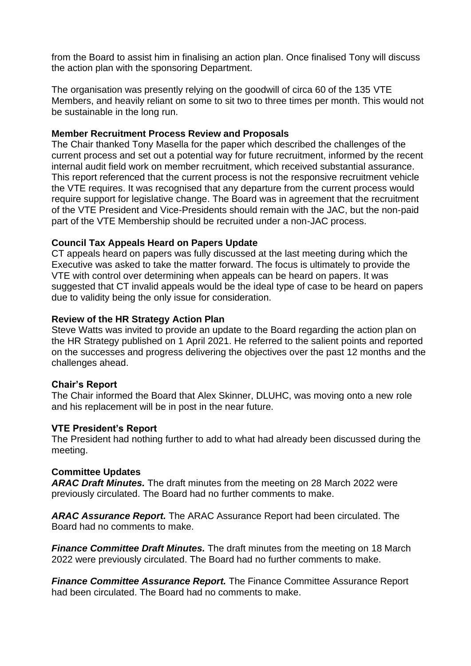from the Board to assist him in finalising an action plan. Once finalised Tony will discuss the action plan with the sponsoring Department.

The organisation was presently relying on the goodwill of circa 60 of the 135 VTE Members, and heavily reliant on some to sit two to three times per month. This would not be sustainable in the long run.

#### **Member Recruitment Process Review and Proposals**

The Chair thanked Tony Masella for the paper which described the challenges of the current process and set out a potential way for future recruitment, informed by the recent internal audit field work on member recruitment, which received substantial assurance. This report referenced that the current process is not the responsive recruitment vehicle the VTE requires. It was recognised that any departure from the current process would require support for legislative change. The Board was in agreement that the recruitment of the VTE President and Vice-Presidents should remain with the JAC, but the non-paid part of the VTE Membership should be recruited under a non-JAC process.

## **Council Tax Appeals Heard on Papers Update**

CT appeals heard on papers was fully discussed at the last meeting during which the Executive was asked to take the matter forward. The focus is ultimately to provide the VTE with control over determining when appeals can be heard on papers. It was suggested that CT invalid appeals would be the ideal type of case to be heard on papers due to validity being the only issue for consideration.

#### **Review of the HR Strategy Action Plan**

Steve Watts was invited to provide an update to the Board regarding the action plan on the HR Strategy published on 1 April 2021. He referred to the salient points and reported on the successes and progress delivering the objectives over the past 12 months and the challenges ahead.

## **Chair's Report**

The Chair informed the Board that Alex Skinner, DLUHC, was moving onto a new role and his replacement will be in post in the near future.

#### **VTE President's Report**

The President had nothing further to add to what had already been discussed during the meeting.

## **Committee Updates**

*ARAC Draft Minutes.* The draft minutes from the meeting on 28 March 2022 were previously circulated. The Board had no further comments to make.

*ARAC Assurance Report.* The ARAC Assurance Report had been circulated. The Board had no comments to make.

*Finance Committee Draft Minutes.* The draft minutes from the meeting on 18 March 2022 were previously circulated. The Board had no further comments to make.

*Finance Committee Assurance Report.* The Finance Committee Assurance Report had been circulated. The Board had no comments to make.